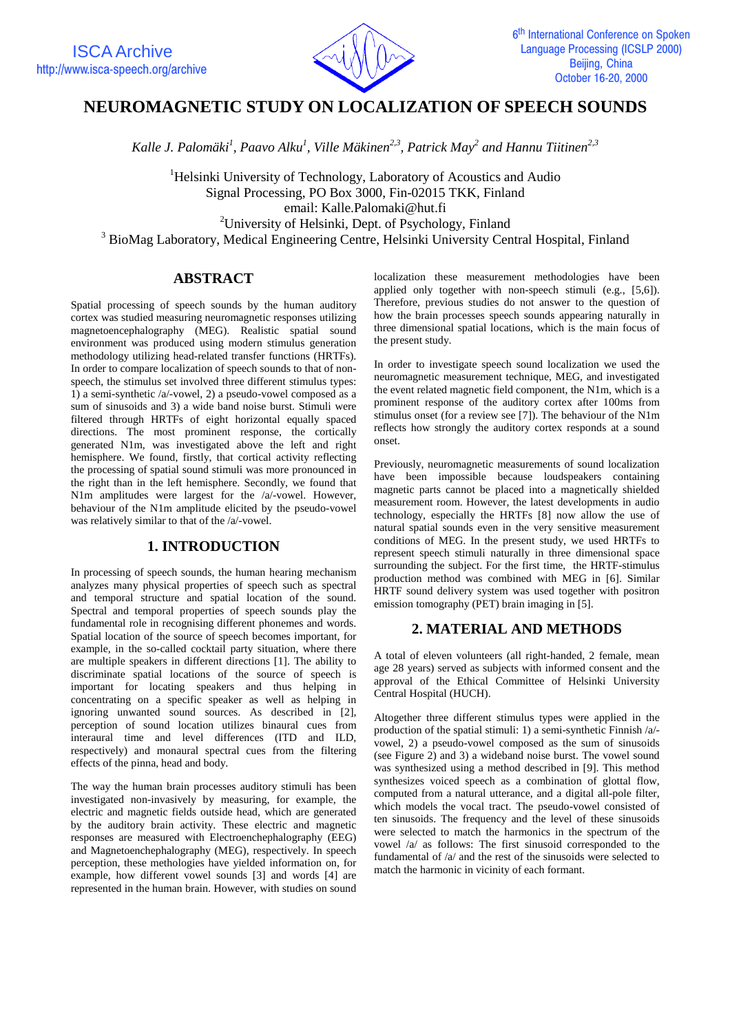

# **NEUROMAGNETIC STUDY ON LOCALIZATION OF SPEECH SOUNDS**

Kalle J. Palomäki<sup>1</sup>, Paavo Alku<sup>1</sup>, Ville Mäkinen<sup>2,3</sup>, Patrick May<sup>2</sup> and Hannu Tiitinen<sup>2,3</sup>

<sup>1</sup>Helsinki University of Technology, Laboratory of Acoustics and Audio Signal Processing, PO Box 3000, Fin-02015 TKK, Finland email: Kalle.Palomaki@hut.fi <sup>2</sup>University of Helsinki, Dept. of Psychology, Finland

<sup>3</sup> BioMag Laboratory, Medical Engineering Centre, Helsinki University Central Hospital, Finland

## **ABSTRACT**

Spatial processing of speech sounds by the human auditory cortex was studied measuring neuromagnetic responses utilizing magnetoencephalography (MEG). Realistic spatial sound environment was produced using modern stimulus generation methodology utilizing head-related transfer functions (HRTFs). In order to compare localization of speech sounds to that of nonspeech, the stimulus set involved three different stimulus types: 1) a semi-synthetic /a/-vowel, 2) a pseudo-vowel composed as a sum of sinusoids and 3) a wide band noise burst. Stimuli were filtered through HRTFs of eight horizontal equally spaced directions. The most prominent response, the cortically generated N1m, was investigated above the left and right hemisphere. We found, firstly, that cortical activity reflecting the processing of spatial sound stimuli was more pronounced in the right than in the left hemisphere. Secondly, we found that N1m amplitudes were largest for the /a/-vowel. However, behaviour of the N1m amplitude elicited by the pseudo-vowel was relatively similar to that of the /a/-vowel.

### **1. INTRODUCTION**

In processing of speech sounds, the human hearing mechanism analyzes many physical properties of speech such as spectral and temporal structure and spatial location of the sound. Spectral and temporal properties of speech sounds play the fundamental role in recognising different phonemes and words. Spatial location of the source of speech becomes important, for example, in the so-called cocktail party situation, where there are multiple speakers in different directions [1]. The ability to discriminate spatial locations of the source of speech is important for locating speakers and thus helping in concentrating on a specific speaker as well as helping in ignoring unwanted sound sources. As described in [2], perception of sound location utilizes binaural cues from interaural time and level differences (ITD and ILD, respectively) and monaural spectral cues from the filtering effects of the pinna, head and body.

The way the human brain processes auditory stimuli has been investigated non-invasively by measuring, for example, the electric and magnetic fields outside head, which are generated by the auditory brain activity. These electric and magnetic responses are measured with Electroenchephalography (EEG) and Magnetoenchephalography (MEG), respectively. In speech perception, these methologies have yielded information on, for example, how different vowel sounds [3] and words [4] are represented in the human brain. However, with studies on sound

localization these measurement methodologies have been applied only together with non-speech stimuli (e.g., [5,6]). Therefore, previous studies do not answer to the question of how the brain processes speech sounds appearing naturally in three dimensional spatial locations, which is the main focus of the present study.

In order to investigate speech sound localization we used the neuromagnetic measurement technique, MEG, and investigated the event related magnetic field component, the N1m, which is a prominent response of the auditory cortex after 100ms from stimulus onset (for a review see [7]). The behaviour of the N1m reflects how strongly the auditory cortex responds at a sound onset.

Previously, neuromagnetic measurements of sound localization have been impossible because loudspeakers containing magnetic parts cannot be placed into a magnetically shielded measurement room. However, the latest developments in audio technology, especially the HRTFs [8] now allow the use of natural spatial sounds even in the very sensitive measurement conditions of MEG. In the present study, we used HRTFs to represent speech stimuli naturally in three dimensional space surrounding the subject. For the first time, the HRTF-stimulus production method was combined with MEG in [6]. Similar HRTF sound delivery system was used together with positron emission tomography (PET) brain imaging in [5].

### **2. MATERIAL AND METHODS**

A total of eleven volunteers (all right-handed, 2 female, mean age 28 years) served as subjects with informed consent and the approval of the Ethical Committee of Helsinki University Central Hospital (HUCH).

Altogether three different stimulus types were applied in the production of the spatial stimuli: 1) a semi-synthetic Finnish /a/ vowel, 2) a pseudo-vowel composed as the sum of sinusoids (see Figure 2) and 3) a wideband noise burst. The vowel sound was synthesized using a method described in [9]. This method synthesizes voiced speech as a combination of glottal flow, computed from a natural utterance, and a digital all-pole filter, which models the vocal tract. The pseudo-vowel consisted of ten sinusoids. The frequency and the level of these sinusoids were selected to match the harmonics in the spectrum of the vowel /a/ as follows: The first sinusoid corresponded to the fundamental of /a/ and the rest of the sinusoids were selected to match the harmonic in vicinity of each formant.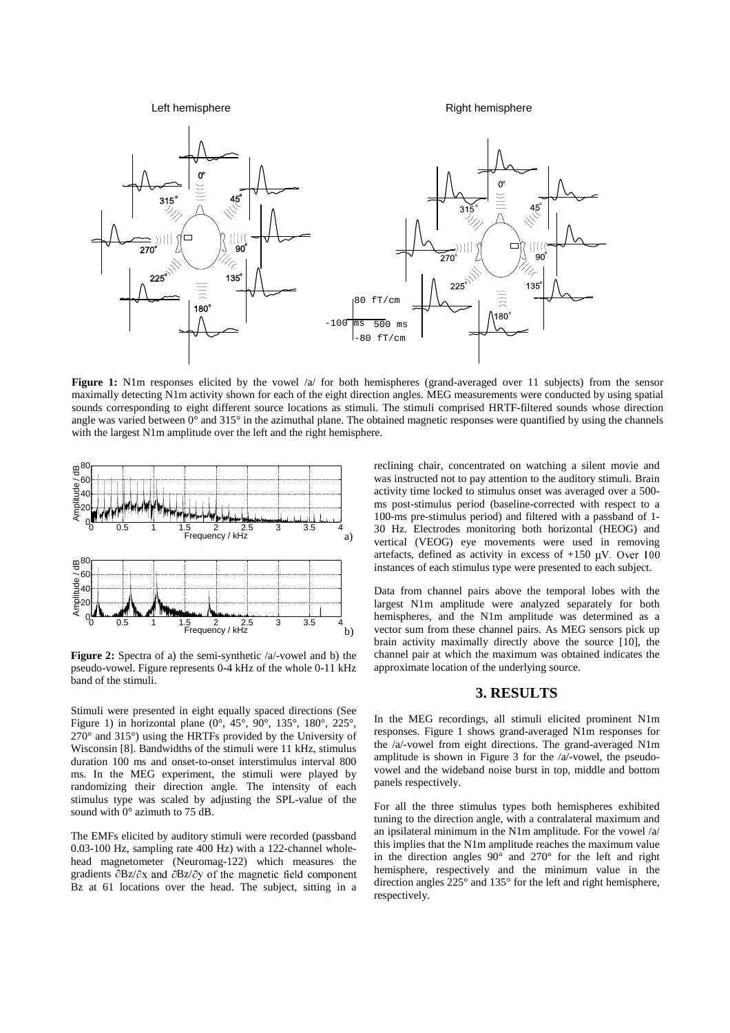Left hemisphere **Right hemisphere** Right hemisphere



**Figure 1:** N1m responses elicited by the vowel /a/ for both hemispheres (grand-averaged over 11 subjects) from the sensor maximally detecting N1m activity shown for each of the eight direction angles. MEG measurements were conducted by using spatial sounds corresponding to eight different source locations as stimuli. The stimuli comprised HRTF-filtered sounds whose direction angle was varied between  $0^{\circ}$  and  $315^{\circ}$  in the azimuthal plane. The obtained magnetic responses were quantified by using the channels with the largest N1m amplitude over the left and the right hemisphere.



**Figure 2:** Spectra of a) the semi-synthetic /a/-vowel and b) the pseudo-vowel. Figure represents 0-4 kHz of the whole 0-11 kHz band of the stimuli.

Stimuli were presented in eight equally spaced directions (See Figure 1) in horizontal plane  $(0^{\circ}, 45^{\circ}, 90^{\circ}, 135^{\circ}, 180^{\circ}, 225^{\circ},$ 270° and 315°) using the HRTFs provided by the University of Wisconsin [8]. Bandwidths of the stimuli were 11 kHz, stimulus duration 100 ms and onset-to-onset interstimulus interval 800 ms. In the MEG experiment, the stimuli were played by randomizing their direction angle. The intensity of each stimulus type was scaled by adjusting the SPL-value of the sound with 0° azimuth to 75 dB.

The EMFs elicited by auditory stimuli were recorded (passband 0.03-100 Hz, sampling rate 400 Hz) with a 122-channel wholehead magnetometer (Neuromag-122) which measures the gradients  $\partial$ Bz/ $\partial$ x and  $\partial$ Bz/ $\partial$ y of the magnetic field component ne Bz at 61 locations over the head. The subject, sitting in a

reclining chair, concentrated on watching a silent movie and was instructed not to pay attention to the auditory stimuli. Brain activity time locked to stimulus onset was averaged over a 500 ms post-stimulus period (baseline-corrected with respect to a 100-ms pre-stimulus period) and filtered with a passband of 1- 30 Hz. Electrodes monitoring both horizontal (HEOG) and vertical (VEOG) eye movements were used in removing artefacts, defined as activity in excess of  $+150$   $\mu$ V. Over 100 instances of each stimulus type were presented to each subject.

Data from channel pairs above the temporal lobes with the largest N1m amplitude were analyzed separately for both hemispheres, and the N1m amplitude was determined as a vector sum from these channel pairs. As MEG sensors pick up brain activity maximally directly above the source [10], the channel pair at which the maximum was obtained indicates the approximate location of the underlying source.

#### **3. RESULTS**

In the MEG recordings, all stimuli elicited prominent N1m responses. Figure 1 shows grand-averaged N1m responses for the /a/-vowel from eight directions. The grand-averaged N1m amplitude is shown in Figure 3 for the  $/a$ -vowel, the pseudovowel and the wideband noise burst in top, middle and bottom panels respectively.

For all the three stimulus types both hemispheres exhibited tuning to the direction angle, with a contralateral maximum and an ipsilateral minimum in the N1m amplitude. For the vowel /a/ this implies that the N1m amplitude reaches the maximum value in the direction angles 90° and 270° for the left and right hemisphere, respectively and the minimum value in the direction angles 225° and 135° for the left and right hemisphere, respectively.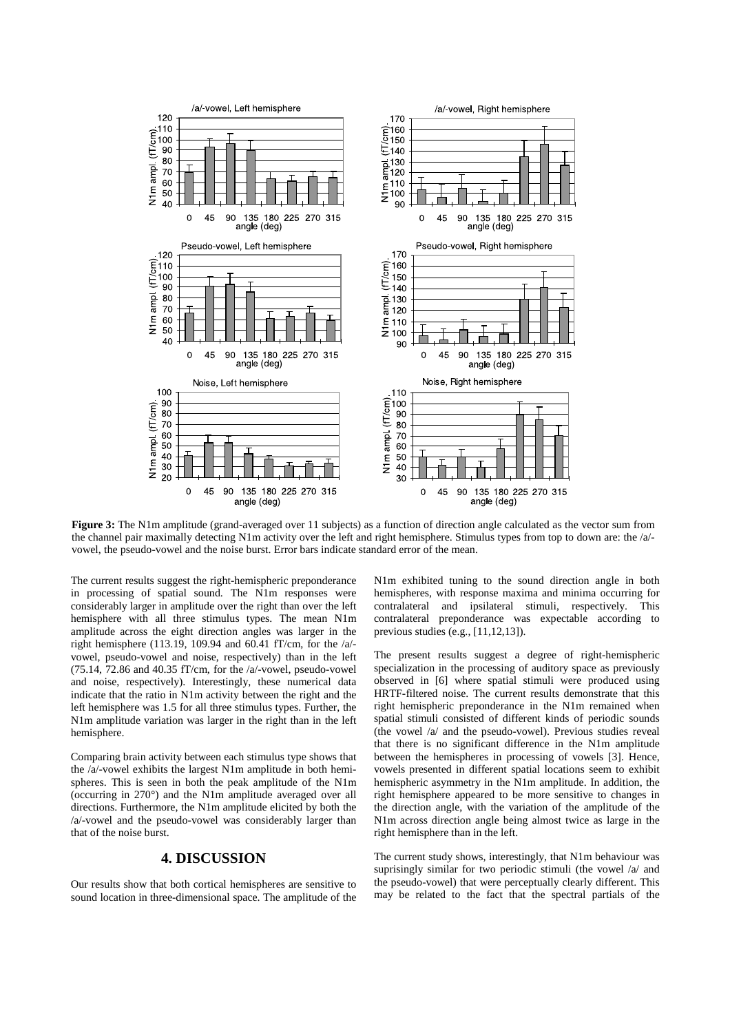

**Figure 3:** The N1m amplitude (grand-averaged over 11 subjects) as a function of direction angle calculated as the vector sum from the channel pair maximally detecting N1m activity over the left and right hemisphere. Stimulus types from top to down are: the /a/ vowel, the pseudo-vowel and the noise burst. Error bars indicate standard error of the mean.

The current results suggest the right-hemispheric preponderance in processing of spatial sound. The N1m responses were considerably larger in amplitude over the right than over the left hemisphere with all three stimulus types. The mean N1m amplitude across the eight direction angles was larger in the right hemisphere (113.19, 109.94 and 60.41 fT/cm, for the /a/ vowel, pseudo-vowel and noise, respectively) than in the left (75.14, 72.86 and 40.35 fT/cm, for the /a/-vowel, pseudo-vowel and noise, respectively). Interestingly, these numerical data indicate that the ratio in N1m activity between the right and the left hemisphere was 1.5 for all three stimulus types. Further, the N1m amplitude variation was larger in the right than in the left hemisphere.

Comparing brain activity between each stimulus type shows that the /a/-vowel exhibits the largest N1m amplitude in both hemispheres. This is seen in both the peak amplitude of the N1m (occurring in 270°) and the N1m amplitude averaged over all directions. Furthermore, the N1m amplitude elicited by both the /a/-vowel and the pseudo-vowel was considerably larger than that of the noise burst.

### **4. DISCUSSION**

Our results show that both cortical hemispheres are sensitive to sound location in three-dimensional space. The amplitude of the N1m exhibited tuning to the sound direction angle in both hemispheres, with response maxima and minima occurring for contralateral and ipsilateral stimuli, respectively. This contralateral preponderance was expectable according to previous studies (e.g., [11,12,13]).

The present results suggest a degree of right-hemispheric specialization in the processing of auditory space as previously observed in [6] where spatial stimuli were produced using HRTF-filtered noise. The current results demonstrate that this right hemispheric preponderance in the N1m remained when spatial stimuli consisted of different kinds of periodic sounds (the vowel /a/ and the pseudo-vowel). Previous studies reveal that there is no significant difference in the N1m amplitude between the hemispheres in processing of vowels [3]. Hence, vowels presented in different spatial locations seem to exhibit hemispheric asymmetry in the N1m amplitude. In addition, the right hemisphere appeared to be more sensitive to changes in the direction angle, with the variation of the amplitude of the N1m across direction angle being almost twice as large in the right hemisphere than in the left.

The current study shows, interestingly, that N1m behaviour was suprisingly similar for two periodic stimuli (the vowel /a/ and the pseudo-vowel) that were perceptually clearly different. This may be related to the fact that the spectral partials of the